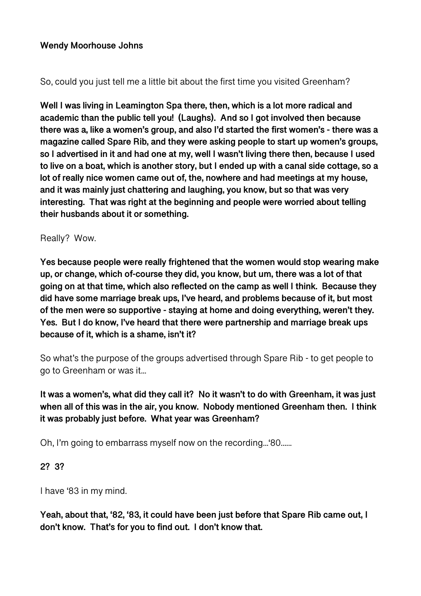#### **Wendy Moorhouse Johns**

#### So, could you just tell me a little bit about the first time you visited Greenham?

**Well I was living in Leamington Spa there, then, which is a lot more radical and academic than the public tell you! (Laughs). And so I got involved then because there was a, like a women's group, and also I'd started the first women's - there was a magazine called Spare Rib, and they were asking people to start up women's groups, so I advertised in it and had one at my, well I wasn't living there then, because I used to live on a boat, which is another story, but I ended up with a canal side cottage, so a lot of really nice women came out of, the, nowhere and had meetings at my house, and it was mainly just chattering and laughing, you know, but so that was very interesting. That was right at the beginning and people were worried about telling their husbands about it or something.** 

#### Really? Wow.

**Yes because people were really frightened that the women would stop wearing make up, or change, which of-course they did, you know, but um, there was a lot of that going on at that time, which also reflected on the camp as well I think. Because they did have some marriage break ups, I've heard, and problems because of it, but most of the men were so supportive - staying at home and doing everything, weren't they. Yes. But I do know, I've heard that there were partnership and marriage break ups because of it, which is a shame, isn't it?** 

So what's the purpose of the groups advertised through Spare Rib - to get people to go to Greenham or was it...

**It was a women's, what did they call it? No it wasn't to do with Greenham, it was just when all of this was in the air, you know. Nobody mentioned Greenham then. I think it was probably just before. What year was Greenham?** 

Oh, I'm going to embarrass myself now on the recording...'80......

#### **2? 3?**

I have '83 in my mind.

**Yeah, about that, '82, '83, it could have been just before that Spare Rib came out, I don't know. That's for you to find out. I don't know that.**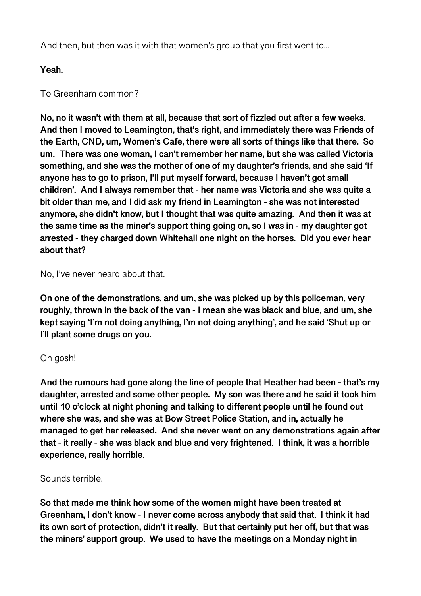And then, but then was it with that women's group that you first went to...

**Yeah.** 

### To Greenham common?

**No, no it wasn't with them at all, because that sort of fizzled out after a few weeks. And then I moved to Leamington, that's right, and immediately there was Friends of the Earth, CND, um, Women's Cafe, there were all sorts of things like that there. So um. There was one woman, I can't remember her name, but she was called Victoria something, and she was the mother of one of my daughter's friends, and she said 'If anyone has to go to prison, I'll put myself forward, because I haven't got small children'. And I always remember that - her name was Victoria and she was quite a bit older than me, and I did ask my friend in Leamington - she was not interested anymore, she didn't know, but I thought that was quite amazing. And then it was at the same time as the miner's support thing going on, so I was in - my daughter got arrested - they charged down Whitehall one night on the horses. Did you ever hear about that?** 

### No, I've never heard about that.

**On one of the demonstrations, and um, she was picked up by this policeman, very roughly, thrown in the back of the van - I mean she was black and blue, and um, she kept saying 'I'm not doing anything, I'm not doing anything', and he said 'Shut up or I'll plant some drugs on you.** 

#### Oh gosh!

**And the rumours had gone along the line of people that Heather had been - that's my daughter, arrested and some other people. My son was there and he said it took him until 10 o'clock at night phoning and talking to different people until he found out where she was, and she was at Bow Street Police Station, and in, actually he managed to get her released. And she never went on any demonstrations again after that - it really - she was black and blue and very frightened. I think, it was a horrible experience, really horrible.** 

#### Sounds terrible.

**So that made me think how some of the women might have been treated at Greenham, I don't know - I never come across anybody that said that. I think it had its own sort of protection, didn't it really. But that certainly put her off, but that was the miners' support group. We used to have the meetings on a Monday night in**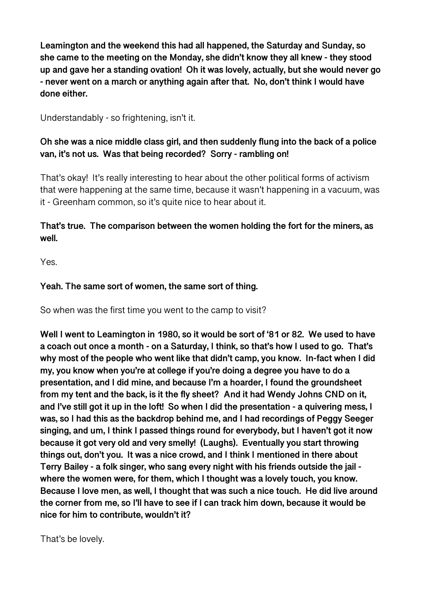**Leamington and the weekend this had all happened, the Saturday and Sunday, so she came to the meeting on the Monday, she didn't know they all knew - they stood up and gave her a standing ovation! Oh it was lovely, actually, but she would never go - never went on a march or anything again after that. No, don't think I would have done either.** 

Understandably - so frightening, isn't it.

# **Oh she was a nice middle class girl, and then suddenly flung into the back of a police van, it's not us. Was that being recorded? Sorry - rambling on!**

That's okay! It's really interesting to hear about the other political forms of activism that were happening at the same time, because it wasn't happening in a vacuum, was it - Greenham common, so it's quite nice to hear about it.

# **That's true. The comparison between the women holding the fort for the miners, as well.**

Yes.

# **Yeah. The same sort of women, the same sort of thing.**

So when was the first time you went to the camp to visit?

**Well I went to Leamington in 1980, so it would be sort of '81 or 82. We used to have a coach out once a month - on a Saturday, I think, so that's how I used to go. That's why most of the people who went like that didn't camp, you know. In-fact when I did my, you know when you're at college if you're doing a degree you have to do a presentation, and I did mine, and because I'm a hoarder, I found the groundsheet from my tent and the back, is it the fly sheet? And it had Wendy Johns CND on it, and I've still got it up in the loft! So when I did the presentation - a quivering mess, I was, so I had this as the backdrop behind me, and I had recordings of Peggy Seeger singing, and um, I think I passed things round for everybody, but I haven't got it now because it got very old and very smelly! (Laughs). Eventually you start throwing things out, don't you. It was a nice crowd, and I think I mentioned in there about Terry Bailey - a folk singer, who sang every night with his friends outside the jail where the women were, for them, which I thought was a lovely touch, you know. Because I love men, as well, I thought that was such a nice touch. He did live around the corner from me, so I'll have to see if I can track him down, because it would be nice for him to contribute, wouldn't it?** 

That's be lovely.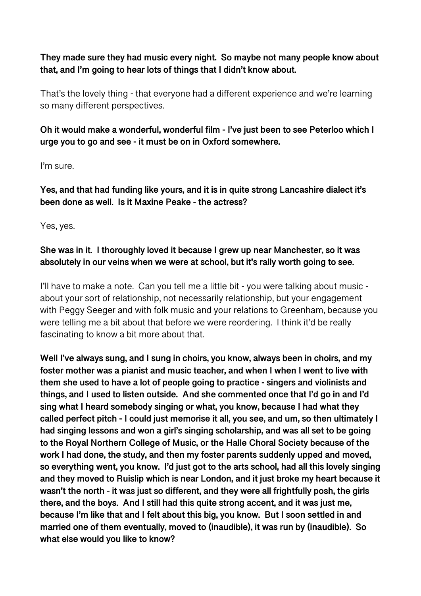**They made sure they had music every night. So maybe not many people know about that, and I'm going to hear lots of things that I didn't know about.** 

That's the lovely thing - that everyone had a different experience and we're learning so many different perspectives.

**Oh it would make a wonderful, wonderful film - I've just been to see Peterloo which I urge you to go and see - it must be on in Oxford somewhere.** 

I'm sure.

**Yes, and that had funding like yours, and it is in quite strong Lancashire dialect it's been done as well. Is it Maxine Peake - the actress?** 

Yes, yes.

#### **She was in it. I thoroughly loved it because I grew up near Manchester, so it was absolutely in our veins when we were at school, but it's rally worth going to see.**

I'll have to make a note. Can you tell me a little bit - you were talking about music about your sort of relationship, not necessarily relationship, but your engagement with Peggy Seeger and with folk music and your relations to Greenham, because you were telling me a bit about that before we were reordering. I think it'd be really fascinating to know a bit more about that.

**Well I've always sung, and I sung in choirs, you know, always been in choirs, and my foster mother was a pianist and music teacher, and when I when I went to live with them she used to have a lot of people going to practice - singers and violinists and things, and I used to listen outside. And she commented once that I'd go in and I'd sing what I heard somebody singing or what, you know, because I had what they called perfect pitch - I could just memorise it all, you see, and um, so then ultimately I had singing lessons and won a girl's singing scholarship, and was all set to be going to the Royal Northern College of Music, or the Halle Choral Society because of the work I had done, the study, and then my foster parents suddenly upped and moved, so everything went, you know. I'd just got to the arts school, had all this lovely singing and they moved to Ruislip which is near London, and it just broke my heart because it wasn't the north - it was just so different, and they were all frightfully posh, the girls there, and the boys. And I still had this quite strong accent, and it was just me, because I'm like that and I felt about this big, you know. But I soon settled in and married one of them eventually, moved to (inaudible), it was run by (inaudible). So what else would you like to know?**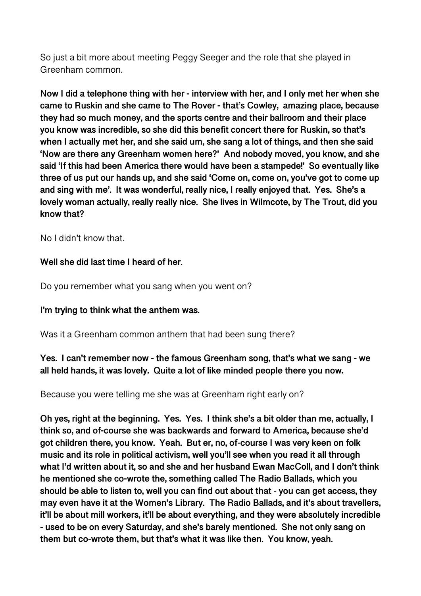So just a bit more about meeting Peggy Seeger and the role that she played in Greenham common.

**Now I did a telephone thing with her - interview with her, and I only met her when she came to Ruskin and she came to The Rover - that's Cowley, amazing place, because they had so much money, and the sports centre and their ballroom and their place you know was incredible, so she did this benefit concert there for Ruskin, so that's when I actually met her, and she said um, she sang a lot of things, and then she said 'Now are there any Greenham women here?' And nobody moved, you know, and she said 'If this had been America there would have been a stampede!' So eventually like three of us put our hands up, and she said 'Come on, come on, you've got to come up and sing with me'. It was wonderful, really nice, I really enjoyed that. Yes. She's a lovely woman actually, really really nice. She lives in Wilmcote, by The Trout, did you know that?** 

No I didn't know that.

#### **Well she did last time I heard of her.**

Do you remember what you sang when you went on?

#### **I'm trying to think what the anthem was.**

Was it a Greenham common anthem that had been sung there?

### **Yes. I can't remember now - the famous Greenham song, that's what we sang - we all held hands, it was lovely. Quite a lot of like minded people there you now.**

Because you were telling me she was at Greenham right early on?

**Oh yes, right at the beginning. Yes. Yes. I think she's a bit older than me, actually, I think so, and of-course she was backwards and forward to America, because she'd got children there, you know. Yeah. But er, no, of-course I was very keen on folk music and its role in political activism, well you'll see when you read it all through what I'd written about it, so and she and her husband Ewan MacColl, and I don't think he mentioned she co-wrote the, something called The Radio Ballads, which you should be able to listen to, well you can find out about that - you can get access, they may even have it at the Women's Library. The Radio Ballads, and it's about travellers, it'll be about mill workers, it'll be about everything, and they were absolutely incredible - used to be on every Saturday, and she's barely mentioned. She not only sang on them but co-wrote them, but that's what it was like then. You know, yeah.**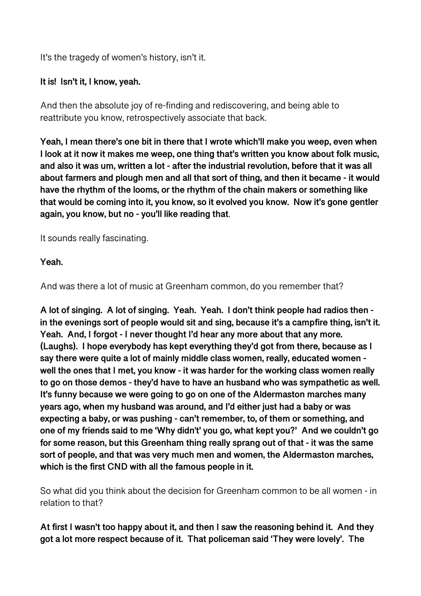It's the tragedy of women's history, isn't it.

### **It is! Isn't it, I know, yeah.**

And then the absolute joy of re-finding and rediscovering, and being able to reattribute you know, retrospectively associate that back.

**Yeah, I mean there's one bit in there that I wrote which'll make you weep, even when I look at it now it makes me weep, one thing that's written you know about folk music, and also it was um, written a lot - after the industrial revolution, before that it was all about farmers and plough men and all that sort of thing, and then it became - it would have the rhythm of the looms, or the rhythm of the chain makers or something like that would be coming into it, you know, so it evolved you know. Now it's gone gentler again, you know, but no - you'll like reading that**.

It sounds really fascinating.

**Yeah.** 

And was there a lot of music at Greenham common, do you remember that?

**A lot of singing. A lot of singing. Yeah. Yeah. I don't think people had radios then in the evenings sort of people would sit and sing, because it's a campfire thing, isn't it. Yeah. And, I forgot - I never thought I'd hear any more about that any more. (Laughs). I hope everybody has kept everything they'd got from there, because as I say there were quite a lot of mainly middle class women, really, educated women well the ones that I met, you know - it was harder for the working class women really to go on those demos - they'd have to have an husband who was sympathetic as well. It's funny because we were going to go on one of the Aldermaston marches many years ago, when my husband was around, and I'd either just had a baby or was expecting a baby, or was pushing - can't remember, to, of them or something, and one of my friends said to me 'Why didn't' you go, what kept you?' And we couldn't go for some reason, but this Greenham thing really sprang out of that - it was the same sort of people, and that was very much men and women, the Aldermaston marches, which is the first CND with all the famous people in it.** 

So what did you think about the decision for Greenham common to be all women - in relation to that?

**At first I wasn't too happy about it, and then I saw the reasoning behind it. And they got a lot more respect because of it. That policeman said 'They were lovely'. The**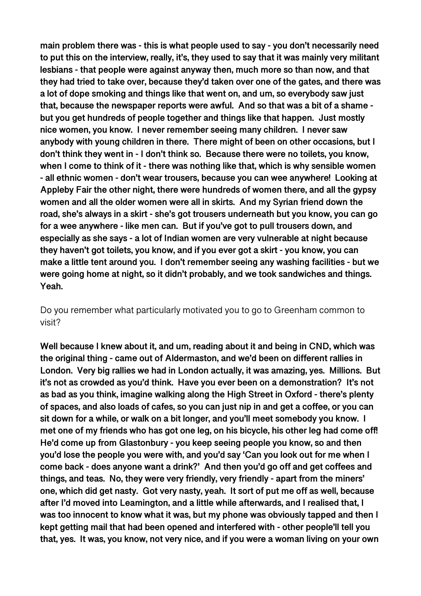**main problem there was - this is what people used to say - you don't necessarily need to put this on the interview, really, it's, they used to say that it was mainly very militant lesbians - that people were against anyway then, much more so than now, and that they had tried to take over, because they'd taken over one of the gates, and there was a lot of dope smoking and things like that went on, and um, so everybody saw just that, because the newspaper reports were awful. And so that was a bit of a shame but you get hundreds of people together and things like that happen. Just mostly nice women, you know. I never remember seeing many children. I never saw anybody with young children in there. There might of been on other occasions, but I don't think they went in - I don't think so. Because there were no toilets, you know, when I come to think of it - there was nothing like that, which is why sensible women - all ethnic women - don't wear trousers, because you can wee anywhere! Looking at Appleby Fair the other night, there were hundreds of women there, and all the gypsy women and all the older women were all in skirts. And my Syrian friend down the road, she's always in a skirt - she's got trousers underneath but you know, you can go for a wee anywhere - like men can. But if you've got to pull trousers down, and especially as she says - a lot of Indian women are very vulnerable at night because they haven't got toilets, you know, and if you ever got a skirt - you know, you can make a little tent around you. I don't remember seeing any washing facilities - but we were going home at night, so it didn't probably, and we took sandwiches and things. Yeah.** 

Do you remember what particularly motivated you to go to Greenham common to visit?

**Well because I knew about it, and um, reading about it and being in CND, which was the original thing - came out of Aldermaston, and we'd been on different rallies in London. Very big rallies we had in London actually, it was amazing, yes. Millions. But it's not as crowded as you'd think. Have you ever been on a demonstration? It's not as bad as you think, imagine walking along the High Street in Oxford - there's plenty of spaces, and also loads of cafes, so you can just nip in and get a coffee, or you can sit down for a while, or walk on a bit longer, and you'll meet somebody you know. I met one of my friends who has got one leg, on his bicycle, his other leg had come off! He'd come up from Glastonbury - you keep seeing people you know, so and then you'd lose the people you were with, and you'd say 'Can you look out for me when I come back - does anyone want a drink?' And then you'd go off and get coffees and things, and teas. No, they were very friendly, very friendly - apart from the miners' one, which did get nasty. Got very nasty, yeah. It sort of put me off as well, because after I'd moved into Leamington, and a little while afterwards, and I realised that, I was too innocent to know what it was, but my phone was obviously tapped and then I kept getting mail that had been opened and interfered with - other people'll tell you that, yes. It was, you know, not very nice, and if you were a woman living on your own**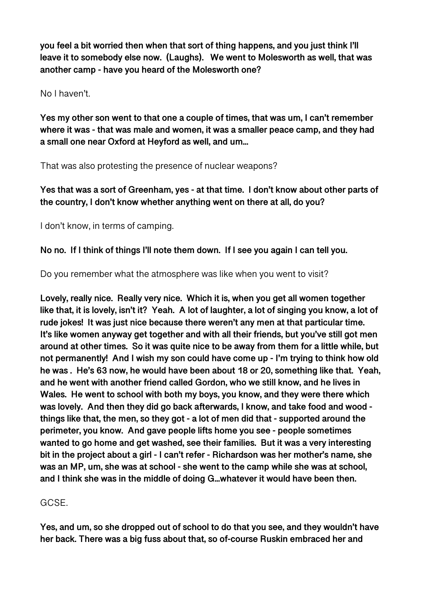**you feel a bit worried then when that sort of thing happens, and you just think I'll leave it to somebody else now. (Laughs). We went to Molesworth as well, that was another camp - have you heard of the Molesworth one?** 

No I haven't.

**Yes my other son went to that one a couple of times, that was um, I can't remember where it was - that was male and women, it was a smaller peace camp, and they had a small one near Oxford at Heyford as well, and um...** 

That was also protesting the presence of nuclear weapons?

**Yes that was a sort of Greenham, yes - at that time. I don't know about other parts of the country, I don't know whether anything went on there at all, do you?** 

I don't know, in terms of camping.

**No no. If I think of things I'll note them down. If I see you again I can tell you.** 

Do you remember what the atmosphere was like when you went to visit?

**Lovely, really nice. Really very nice. Which it is, when you get all women together like that, it is lovely, isn't it? Yeah. A lot of laughter, a lot of singing you know, a lot of rude jokes! It was just nice because there weren't any men at that particular time. It's like women anyway get together and with all their friends, but you've still got men around at other times. So it was quite nice to be away from them for a little while, but not permanently! And I wish my son could have come up - I'm trying to think how old he was . He's 63 now, he would have been about 18 or 20, something like that. Yeah, and he went with another friend called Gordon, who we still know, and he lives in Wales. He went to school with both my boys, you know, and they were there which was lovely. And then they did go back afterwards, I know, and take food and wood things like that, the men, so they got - a lot of men did that - supported around the perimeter, you know. And gave people lifts home you see - people sometimes wanted to go home and get washed, see their families. But it was a very interesting bit in the project about a girl - I can't refer - Richardson was her mother's name, she was an MP, um, she was at school - she went to the camp while she was at school, and I think she was in the middle of doing G...whatever it would have been then.** 

# **GCSE**

**Yes, and um, so she dropped out of school to do that you see, and they wouldn't have her back. There was a big fuss about that, so of-course Ruskin embraced her and**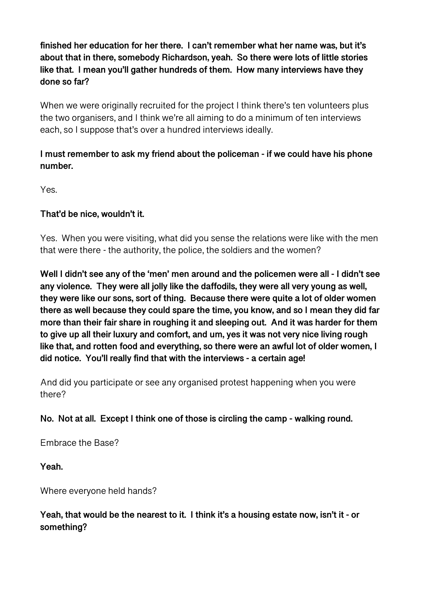**finished her education for her there. I can't remember what her name was, but it's about that in there, somebody Richardson, yeah. So there were lots of little stories like that. I mean you'll gather hundreds of them. How many interviews have they done so far?** 

When we were originally recruited for the project I think there's ten volunteers plus the two organisers, and I think we're all aiming to do a minimum of ten interviews each, so I suppose that's over a hundred interviews ideally.

# **I must remember to ask my friend about the policeman - if we could have his phone number.**

Yes.

### **That'd be nice, wouldn't it.**

Yes. When you were visiting, what did you sense the relations were like with the men that were there - the authority, the police, the soldiers and the women?

**Well I didn't see any of the 'men' men around and the policemen were all - I didn't see any violence. They were all jolly like the daffodils, they were all very young as well, they were like our sons, sort of thing. Because there were quite a lot of older women there as well because they could spare the time, you know, and so I mean they did far more than their fair share in roughing it and sleeping out. And it was harder for them to give up all their luxury and comfort, and um, yes it was not very nice living rough like that, and rotten food and everything, so there were an awful lot of older women, I did notice. You'll really find that with the interviews - a certain age!** 

And did you participate or see any organised protest happening when you were there?

# **No. Not at all. Except I think one of those is circling the camp - walking round.**

Embrace the Base?

**Yeah.** 

Where everyone held hands?

# **Yeah, that would be the nearest to it. I think it's a housing estate now, isn't it - or something?**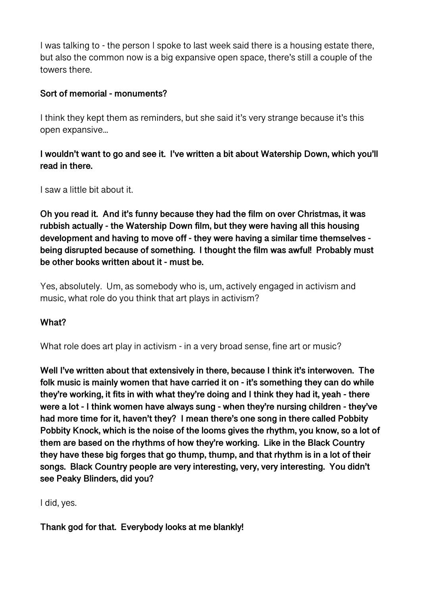I was talking to - the person I spoke to last week said there is a housing estate there, but also the common now is a big expansive open space, there's still a couple of the towers there.

### **Sort of memorial - monuments?**

I think they kept them as reminders, but she said it's very strange because it's this open expansive...

### **I wouldn't want to go and see it. I've written a bit about Watership Down, which you'll read in there.**

I saw a little bit about it.

**Oh you read it. And it's funny because they had the film on over Christmas, it was rubbish actually - the Watership Down film, but they were having all this housing development and having to move off - they were having a similar time themselves being disrupted because of something. I thought the film was awful! Probably must be other books written about it - must be.** 

Yes, absolutely. Um, as somebody who is, um, actively engaged in activism and music, what role do you think that art plays in activism?

#### **What?**

What role does art play in activism - in a very broad sense, fine art or music?

**Well I've written about that extensively in there, because I think it's interwoven. The folk music is mainly women that have carried it on - it's something they can do while they're working, it fits in with what they're doing and I think they had it, yeah - there were a lot - I think women have always sung - when they're nursing children - they've had more time for it, haven't they? I mean there's one song in there called Pobbity Pobbity Knock, which is the noise of the looms gives the rhythm, you know, so a lot of them are based on the rhythms of how they're working. Like in the Black Country they have these big forges that go thump, thump, and that rhythm is in a lot of their songs. Black Country people are very interesting, very, very interesting. You didn't see Peaky Blinders, did you?** 

I did, yes.

**Thank god for that. Everybody looks at me blankly!**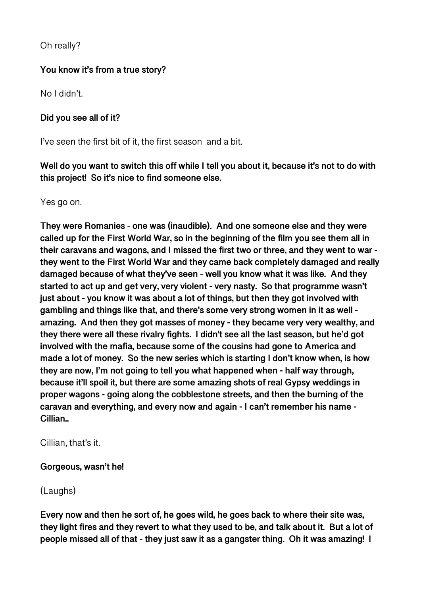Oh really?

# **You know it's from a true story?**

No I didn't.

### **Did you see all of it?**

I've seen the first bit of it, the first season and a bit.

**Well do you want to switch this off while I tell you about it, because it's not to do with this project! So it's nice to find someone else.** 

Yes go on.

**They were Romanies - one was (inaudible). And one someone else and they were called up for the First World War, so in the beginning of the film you see them all in their caravans and wagons, and I missed the first two or three, and they went to war they went to the First World War and they came back completely damaged and really damaged because of what they've seen - well you know what it was like. And they started to act up and get very, very violent - very nasty. So that programme wasn't just about - you know it was about a lot of things, but then they got involved with gambling and things like that, and there's some very strong women in it as well amazing. And then they got masses of money - they became very very wealthy, and they there were all these rivalry fights. I didn't see all the last season, but he'd got involved with the mafia, because some of the cousins had gone to America and made a lot of money. So the new series which is starting I don't know when, is how they are now, I'm not going to tell you what happened when - half way through, because it'll spoil it, but there are some amazing shots of real Gypsy weddings in proper wagons - going along the cobblestone streets, and then the burning of the caravan and everything, and every now and again - I can't remember his name - Cillian..** 

Cillian, that's it.

#### **Gorgeous, wasn't he!**

(Laughs)

**Every now and then he sort of, he goes wild, he goes back to where their site was, they light fires and they revert to what they used to be, and talk about it. But a lot of people missed all of that - they just saw it as a gangster thing. Oh it was amazing! I**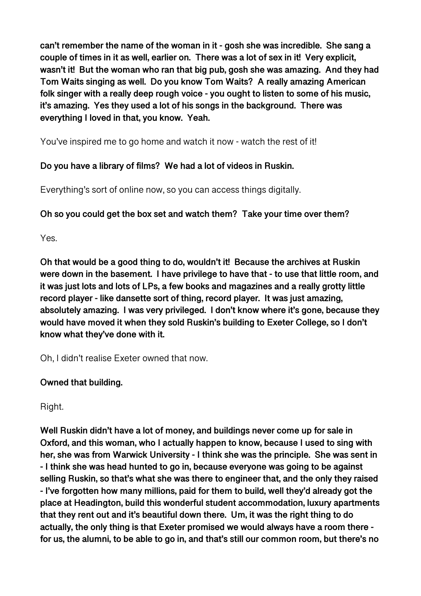**can't remember the name of the woman in it - gosh she was incredible. She sang a couple of times in it as well, earlier on. There was a lot of sex in it! Very explicit, wasn't it! But the woman who ran that big pub, gosh she was amazing. And they had Tom Waits singing as well. Do you know Tom Waits? A really amazing American folk singer with a really deep rough voice - you ought to listen to some of his music, it's amazing. Yes they used a lot of his songs in the background. There was everything I loved in that, you know. Yeah.** 

You've inspired me to go home and watch it now - watch the rest of it!

# **Do you have a library of films? We had a lot of videos in Ruskin.**

Everything's sort of online now, so you can access things digitally.

# **Oh so you could get the box set and watch them? Take your time over them?**

Yes.

**Oh that would be a good thing to do, wouldn't it! Because the archives at Ruskin were down in the basement. I have privilege to have that - to use that little room, and it was just lots and lots of LPs, a few books and magazines and a really grotty little record player - like dansette sort of thing, record player. It was just amazing, absolutely amazing. I was very privileged. I don't know where it's gone, because they would have moved it when they sold Ruskin's building to Exeter College, so I don't know what they've done with it.** 

Oh, I didn't realise Exeter owned that now.

# **Owned that building.**

Right.

**Well Ruskin didn't have a lot of money, and buildings never come up for sale in Oxford, and this woman, who I actually happen to know, because I used to sing with her, she was from Warwick University - I think she was the principle. She was sent in - I think she was head hunted to go in, because everyone was going to be against selling Ruskin, so that's what she was there to engineer that, and the only they raised - I've forgotten how many millions, paid for them to build, well they'd already got the place at Headington, build this wonderful student accommodation, luxury apartments that they rent out and it's beautiful down there. Um, it was the right thing to do actually, the only thing is that Exeter promised we would always have a room there for us, the alumni, to be able to go in, and that's still our common room, but there's no**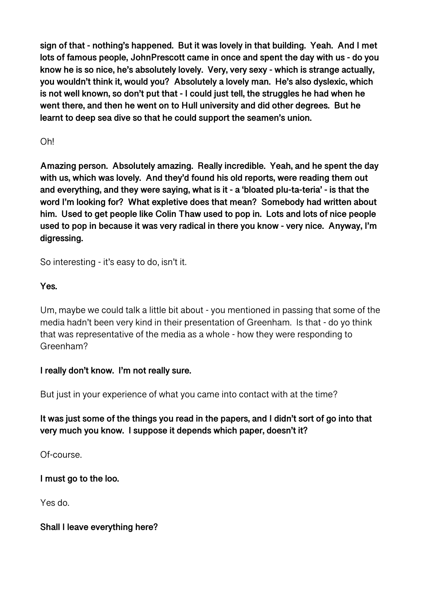**sign of that - nothing's happened. But it was lovely in that building. Yeah. And I met lots of famous people, JohnPrescott came in once and spent the day with us - do you know he is so nice, he's absolutely lovely. Very, very sexy - which is strange actually, you wouldn't think it, would you? Absolutely a lovely man. He's also dyslexic, which is not well known, so don't put that - I could just tell, the struggles he had when he went there, and then he went on to Hull university and did other degrees. But he learnt to deep sea dive so that he could support the seamen's union.** 

# Oh!

**Amazing person. Absolutely amazing. Really incredible. Yeah, and he spent the day with us, which was lovely. And they'd found his old reports, were reading them out and everything, and they were saying, what is it - a 'bloated plu-ta-teria' - is that the word I'm looking for? What expletive does that mean? Somebody had written about him. Used to get people like Colin Thaw used to pop in. Lots and lots of nice people used to pop in because it was very radical in there you know - very nice. Anyway, I'm digressing.** 

So interesting - it's easy to do, isn't it.

# **Yes.**

Um, maybe we could talk a little bit about - you mentioned in passing that some of the media hadn't been very kind in their presentation of Greenham. Is that - do yo think that was representative of the media as a whole - how they were responding to Greenham?

#### **I really don't know. I'm not really sure.**

But just in your experience of what you came into contact with at the time?

# **It was just some of the things you read in the papers, and I didn't sort of go into that very much you know. I suppose it depends which paper, doesn't it?**

Of-course.

**I must go to the loo.** 

Yes do.

#### **Shall I leave everything here?**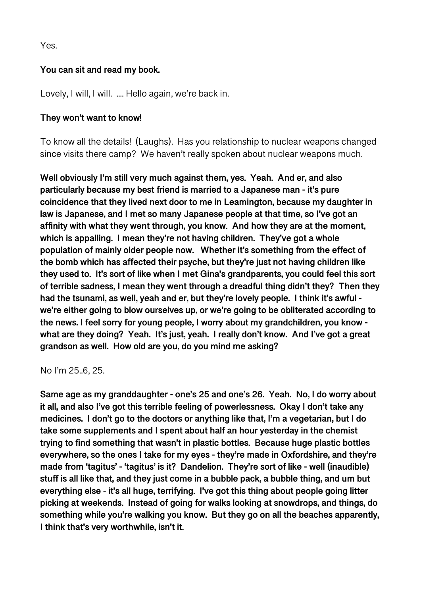Yes.

### **You can sit and read my book.**

Lovely, I will, I will. .... Hello again, we're back in.

#### **They won't want to know!**

To know all the details! (Laughs). Has you relationship to nuclear weapons changed since visits there camp? We haven't really spoken about nuclear weapons much.

**Well obviously I'm still very much against them, yes. Yeah. And er, and also particularly because my best friend is married to a Japanese man - it's pure coincidence that they lived next door to me in Leamington, because my daughter in law is Japanese, and I met so many Japanese people at that time, so I've got an affinity with what they went through, you know. And how they are at the moment, which is appalling. I mean they're not having children. They've got a whole population of mainly older people now. Whether it's something from the effect of the bomb which has affected their psyche, but they're just not having children like they used to. It's sort of like when I met Gina's grandparents, you could feel this sort of terrible sadness, I mean they went through a dreadful thing didn't they? Then they had the tsunami, as well, yeah and er, but they're lovely people. I think it's awful we're either going to blow ourselves up, or we're going to be obliterated according to the news. I feel sorry for young people, I worry about my grandchildren, you know what are they doing? Yeah. It's just, yeah. I really don't know. And I've got a great grandson as well. How old are you, do you mind me asking?** 

No I'm 25..6, 25.

**Same age as my granddaughter - one's 25 and one's 26. Yeah. No, I do worry about it all, and also I've got this terrible feeling of powerlessness. Okay I don't take any medicines. I don't go to the doctors or anything like that, I'm a vegetarian, but I do take some supplements and I spent about half an hour yesterday in the chemist trying to find something that wasn't in plastic bottles. Because huge plastic bottles everywhere, so the ones I take for my eyes - they're made in Oxfordshire, and they're made from 'tagitus' - 'tagitus' is it? Dandelion. They're sort of like - well (inaudible) stuff is all like that, and they just come in a bubble pack, a bubble thing, and um but everything else - it's all huge, terrifying. I've got this thing about people going litter picking at weekends. Instead of going for walks looking at snowdrops, and things, do something while you're walking you know. But they go on all the beaches apparently, I think that's very worthwhile, isn't it.**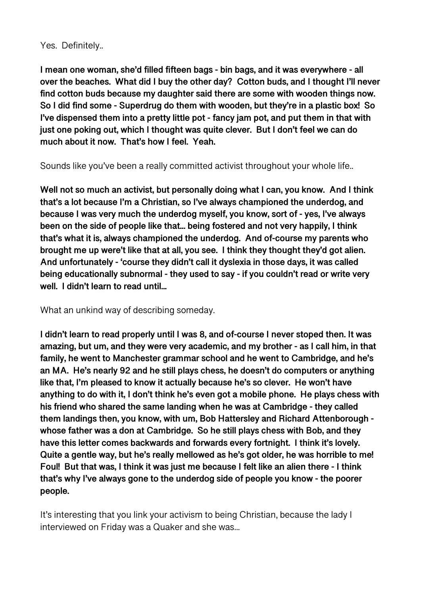#### Yes. Definitely..

**I mean one woman, she'd filled fifteen bags - bin bags, and it was everywhere - all over the beaches. What did I buy the other day? Cotton buds, and I thought I'll never find cotton buds because my daughter said there are some with wooden things now. So I did find some - Superdrug do them with wooden, but they're in a plastic box! So I've dispensed them into a pretty little pot - fancy jam pot, and put them in that with just one poking out, which I thought was quite clever. But I don't feel we can do much about it now. That's how I feel. Yeah.** 

Sounds like you've been a really committed activist throughout your whole life..

**Well not so much an activist, but personally doing what I can, you know. And I think that's a lot because I'm a Christian, so I've always championed the underdog, and because I was very much the underdog myself, you know, sort of - yes, I've always been on the side of people like that... being fostered and not very happily, I think that's what it is, always championed the underdog. And of-course my parents who brought me up were't like that at all, you see. I think they thought they'd got alien. And unfortunately - 'course they didn't call it dyslexia in those days, it was called being educationally subnormal - they used to say - if you couldn't read or write very well. I didn't learn to read until...** 

What an unkind way of describing someday.

**I didn't learn to read properly until I was 8, and of-course I never stoped then. It was amazing, but um, and they were very academic, and my brother - as I call him, in that family, he went to Manchester grammar school and he went to Cambridge, and he's an MA. He's nearly 92 and he still plays chess, he doesn't do computers or anything like that, I'm pleased to know it actually because he's so clever. He won't have anything to do with it, I don't think he's even got a mobile phone. He plays chess with his friend who shared the same landing when he was at Cambridge - they called them landings then, you know, with um, Bob Hattersley and Richard Attenborough whose father was a don at Cambridge. So he still plays chess with Bob, and they have this letter comes backwards and forwards every fortnight. I think it's lovely. Quite a gentle way, but he's really mellowed as he's got older, he was horrible to me! Foul! But that was, I think it was just me because I felt like an alien there - I think that's why I've always gone to the underdog side of people you know - the poorer people.** 

It's interesting that you link your activism to being Christian, because the lady I interviewed on Friday was a Quaker and she was...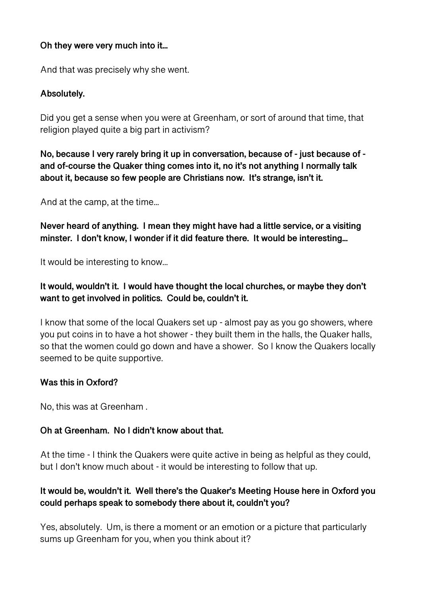### **Oh they were very much into it...**

And that was precisely why she went.

### **Absolutely.**

Did you get a sense when you were at Greenham, or sort of around that time, that religion played quite a big part in activism?

**No, because I very rarely bring it up in conversation, because of - just because of and of-course the Quaker thing comes into it, no it's not anything I normally talk about it, because so few people are Christians now. It's strange, isn't it.** 

And at the camp, at the time...

**Never heard of anything. I mean they might have had a little service, or a visiting minster. I don't know, I wonder if it did feature there. It would be interesting...** 

It would be interesting to know...

# **It would, wouldn't it. I would have thought the local churches, or maybe they don't want to get involved in politics. Could be, couldn't it.**

I know that some of the local Quakers set up - almost pay as you go showers, where you put coins in to have a hot shower - they built them in the halls, the Quaker halls, so that the women could go down and have a shower. So I know the Quakers locally seemed to be quite supportive.

#### **Was this in Oxford?**

No, this was at Greenham .

# **Oh at Greenham. No I didn't know about that.**

At the time - I think the Quakers were quite active in being as helpful as they could, but I don't know much about - it would be interesting to follow that up.

# **It would be, wouldn't it. Well there's the Quaker's Meeting House here in Oxford you could perhaps speak to somebody there about it, couldn't you?**

Yes, absolutely. Um, is there a moment or an emotion or a picture that particularly sums up Greenham for you, when you think about it?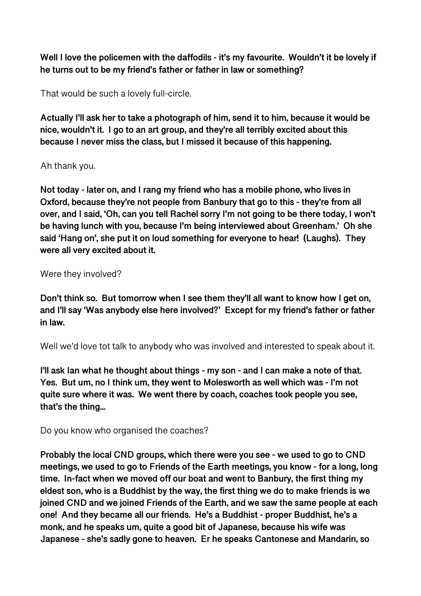Well I love the policemen with the daffodils - it's my favourite. Wouldn't it be lovely if **he turns out to be my friend's father or father in law or something?** 

That would be such a lovely full-circle.

**Actually I'll ask her to take a photograph of him, send it to him, because it would be nice, wouldn't it. I go to an art group, and they're all terribly excited about this because I never miss the class, but I missed it because of this happening.** 

### Ah thank you.

**Not today - later on, and I rang my friend who has a mobile phone, who lives in Oxford, because they're not people from Banbury that go to this - they're from all over, and I said, 'Oh, can you tell Rachel sorry I'm not going to be there today, I won't be having lunch with you, because I'm being interviewed about Greenham.' Oh she said 'Hang on', she put it on loud something for everyone to hear! (Laughs). They were all very excited about it.** 

### Were they involved?

**Don't think so. But tomorrow when I see them they'll all want to know how I get on, and I'll say 'Was anybody else here involved?' Except for my friend's father or father in law.** 

Well we'd love tot talk to anybody who was involved and interested to speak about it.

**I'll ask Ian what he thought about things - my son - and I can make a note of that. Yes. But um, no I think um, they went to Molesworth as well which was - I'm not quite sure where it was. We went there by coach, coaches took people you see, that's the thing...** 

Do you know who organised the coaches?

**Probably the local CND groups, which there were you see - we used to go to CND meetings, we used to go to Friends of the Earth meetings, you know - for a long, long time. In-fact when we moved off our boat and went to Banbury, the first thing my eldest son, who is a Buddhist by the way, the first thing we do to make friends is we joined CND and we joined Friends of the Earth, and we saw the same people at each one! And they became all our friends. He's a Buddhist - proper Buddhist, he's a monk, and he speaks um, quite a good bit of Japanese, because his wife was Japanese - she's sadly gone to heaven. Er he speaks Cantonese and Mandarin, so**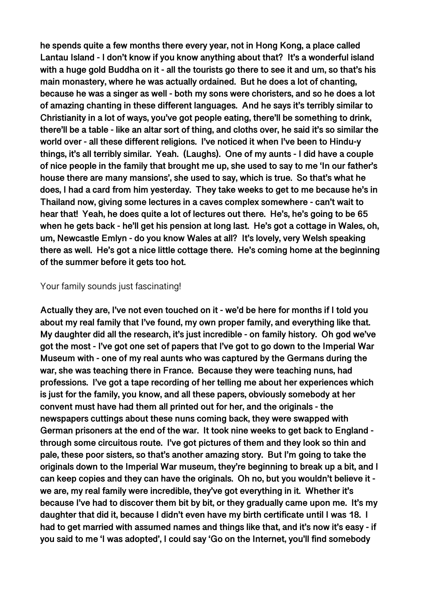**he spends quite a few months there every year, not in Hong Kong, a place called Lantau Island - I don't know if you know anything about that? It's a wonderful island with a huge gold Buddha on it - all the tourists go there to see it and um, so that's his main monastery, where he was actually ordained. But he does a lot of chanting, because he was a singer as well - both my sons were choristers, and so he does a lot of amazing chanting in these different languages. And he says it's terribly similar to Christianity in a lot of ways, you've got people eating, there'll be something to drink, there'll be a table - like an altar sort of thing, and cloths over, he said it's so similar the world over - all these different religions. I've noticed it when I've been to Hindu-y things, it's all terribly similar. Yeah. (Laughs). One of my aunts - I did have a couple of nice people in the family that brought me up, she used to say to me 'In our father's house there are many mansions', she used to say, which is true. So that's what he does, I had a card from him yesterday. They take weeks to get to me because he's in Thailand now, giving some lectures in a caves complex somewhere - can't wait to hear that! Yeah, he does quite a lot of lectures out there. He's, he's going to be 65 when he gets back - he'll get his pension at long last. He's got a cottage in Wales, oh, um, Newcastle Emlyn - do you know Wales at all? It's lovely, very Welsh speaking there as well. He's got a nice little cottage there. He's coming home at the beginning of the summer before it gets too hot.** 

#### Your family sounds just fascinating!

**Actually they are, I've not even touched on it - we'd be here for months if I told you about my real family that I've found, my own proper family, and everything like that. My daughter did all the research, it's just incredible - on family history. Oh god we've got the most - I've got one set of papers that I've got to go down to the Imperial War Museum with - one of my real aunts who was captured by the Germans during the war, she was teaching there in France. Because they were teaching nuns, had professions. I've got a tape recording of her telling me about her experiences which is just for the family, you know, and all these papers, obviously somebody at her convent must have had them all printed out for her, and the originals - the newspapers cuttings about these nuns coming back, they were swapped with German prisoners at the end of the war. It took nine weeks to get back to England through some circuitous route. I've got pictures of them and they look so thin and pale, these poor sisters, so that's another amazing story. But I'm going to take the originals down to the Imperial War museum, they're beginning to break up a bit, and I can keep copies and they can have the originals. Oh no, but you wouldn't believe it we are, my real family were incredible, they've got everything in it. Whether it's because I've had to discover them bit by bit, or they gradually came upon me. It's my daughter that did it, because I didn't even have my birth certificate until I was 18. I had to get married with assumed names and things like that, and it's now it's easy - if you said to me 'I was adopted', I could say 'Go on the Internet, you'll find somebody**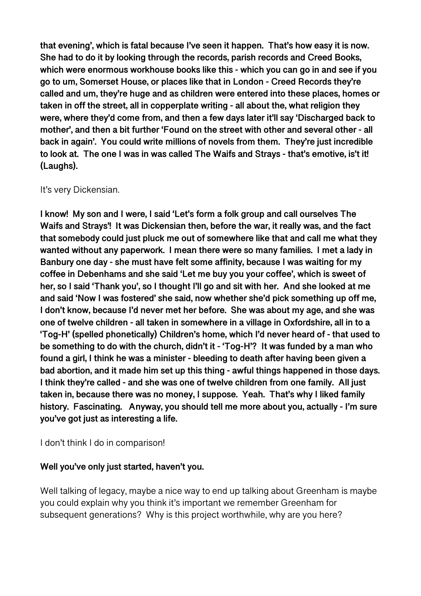**that evening', which is fatal because I've seen it happen. That's how easy it is now. She had to do it by looking through the records, parish records and Creed Books, which were enormous workhouse books like this - which you can go in and see if you go to um, Somerset House, or places like that in London - Creed Records they're called and um, they're huge and as children were entered into these places, homes or taken in off the street, all in copperplate writing - all about the, what religion they were, where they'd come from, and then a few days later it'll say 'Discharged back to mother', and then a bit further 'Found on the street with other and several other - all back in again'. You could write millions of novels from them. They're just incredible to look at. The one I was in was called The Waifs and Strays - that's emotive, is't it! (Laughs).** 

#### It's very Dickensian.

**I know! My son and I were, I said 'Let's form a folk group and call ourselves The Waifs and Strays'! It was Dickensian then, before the war, it really was, and the fact that somebody could just pluck me out of somewhere like that and call me what they wanted without any paperwork. I mean there were so many families. I met a lady in Banbury one day - she must have felt some affinity, because I was waiting for my coffee in Debenhams and she said 'Let me buy you your coffee', which is sweet of her, so I said 'Thank you', so I thought I'll go and sit with her. And she looked at me and said 'Now I was fostered' she said, now whether she'd pick something up off me, I don't know, because I'd never met her before. She was about my age, and she was one of twelve children - all taken in somewhere in a village in Oxfordshire, all in to a 'Tog-H' (spelled phonetically) Children's home, which I'd never heard of - that used to be something to do with the church, didn't it - 'Tog-H'? It was funded by a man who found a girl, I think he was a minister - bleeding to death after having been given a bad abortion, and it made him set up this thing - awful things happened in those days. I think they're called - and she was one of twelve children from one family. All just taken in, because there was no money, I suppose. Yeah. That's why I liked family history. Fascinating. Anyway, you should tell me more about you, actually - I'm sure you've got just as interesting a life.** 

#### I don't think I do in comparison!

#### **Well you've only just started, haven't you.**

Well talking of legacy, maybe a nice way to end up talking about Greenham is maybe you could explain why you think it's important we remember Greenham for subsequent generations? Why is this project worthwhile, why are you here?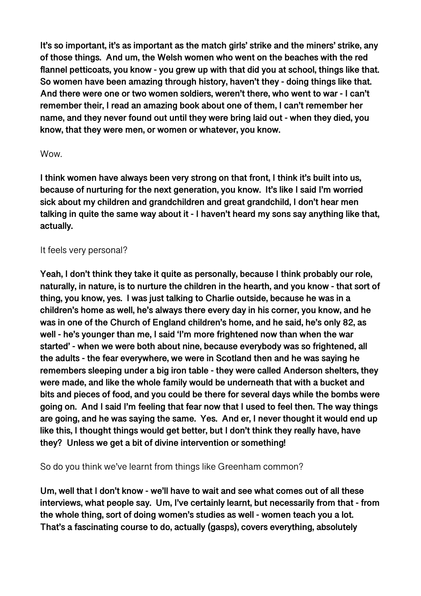**It's so important, it's as important as the match girls' strike and the miners' strike, any of those things. And um, the Welsh women who went on the beaches with the red flannel petticoats, you know - you grew up with that did you at school, things like that. So women have been amazing through history, haven't they - doing things like that. And there were one or two women soldiers, weren't there, who went to war - I can't remember their, I read an amazing book about one of them, I can't remember her name, and they never found out until they were bring laid out - when they died, you know, that they were men, or women or whatever, you know.** 

#### Wow.

**I think women have always been very strong on that front, I think it's built into us, because of nurturing for the next generation, you know. It's like I said I'm worried sick about my children and grandchildren and great grandchild, I don't hear men talking in quite the same way about it - I haven't heard my sons say anything like that, actually.** 

#### It feels very personal?

**Yeah, I don't think they take it quite as personally, because I think probably our role, naturally, in nature, is to nurture the children in the hearth, and you know - that sort of thing, you know, yes. I was just talking to Charlie outside, because he was in a children's home as well, he's always there every day in his corner, you know, and he was in one of the Church of England children's home, and he said, he's only 82, as well - he's younger than me, I said 'I'm more frightened now than when the war started' - when we were both about nine, because everybody was so frightened, all the adults - the fear everywhere, we were in Scotland then and he was saying he remembers sleeping under a big iron table - they were called Anderson shelters, they were made, and like the whole family would be underneath that with a bucket and bits and pieces of food, and you could be there for several days while the bombs were going on. And I said I'm feeling that fear now that I used to feel then. The way things are going, and he was saying the same. Yes. And er, I never thought it would end up like this, I thought things would get better, but I don't think they really have, have they? Unless we get a bit of divine intervention or something!** 

So do you think we've learnt from things like Greenham common?

**Um, well that I don't know - we'll have to wait and see what comes out of all these interviews, what people say. Um, I've certainly learnt, but necessarily from that - from the whole thing, sort of doing women's studies as well - women teach you a lot. That's a fascinating course to do, actually (gasps), covers everything, absolutely**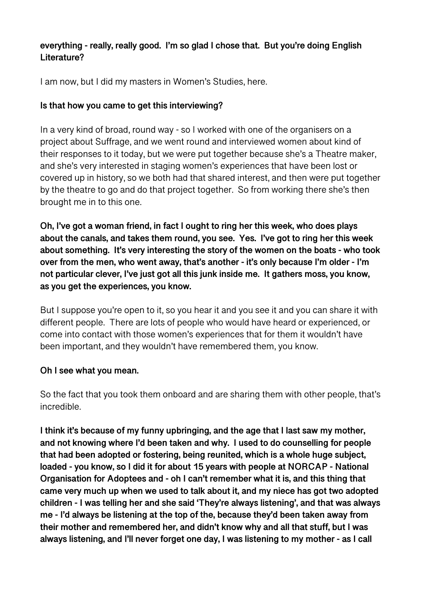### **everything - really, really good. I'm so glad I chose that. But you're doing English Literature?**

I am now, but I did my masters in Women's Studies, here.

### **Is that how you came to get this interviewing?**

In a very kind of broad, round way - so I worked with one of the organisers on a project about Suffrage, and we went round and interviewed women about kind of their responses to it today, but we were put together because she's a Theatre maker, and she's very interested in staging women's experiences that have been lost or covered up in history, so we both had that shared interest, and then were put together by the theatre to go and do that project together. So from working there she's then brought me in to this one.

**Oh, I've got a woman friend, in fact I ought to ring her this week, who does plays about the canals, and takes them round, you see. Yes. I've got to ring her this week about something. It's very interesting the story of the women on the boats - who took over from the men, who went away, that's another - it's only because I'm older - I'm not particular clever, I've just got all this junk inside me. It gathers moss, you know, as you get the experiences, you know.** 

But I suppose you're open to it, so you hear it and you see it and you can share it with different people. There are lots of people who would have heard or experienced, or come into contact with those women's experiences that for them it wouldn't have been important, and they wouldn't have remembered them, you know.

#### **Oh I see what you mean.**

So the fact that you took them onboard and are sharing them with other people, that's incredible.

**I think it's because of my funny upbringing, and the age that I last saw my mother, and not knowing where I'd been taken and why. I used to do counselling for people that had been adopted or fostering, being reunited, which is a whole huge subject, loaded - you know, so I did it for about 15 years with people at NORCAP - National Organisation for Adoptees and - oh I can't remember what it is, and this thing that came very much up when we used to talk about it, and my niece has got two adopted children - I was telling her and she said 'They're always listening', and that was always me - I'd always be listening at the top of the, because they'd been taken away from their mother and remembered her, and didn't know why and all that stuff, but I was always listening, and I'll never forget one day, I was listening to my mother - as I call**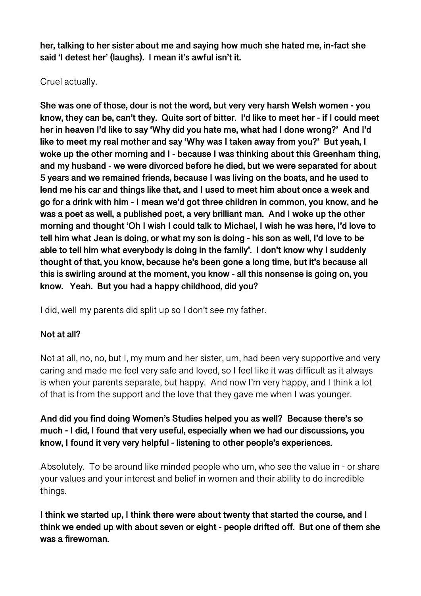**her, talking to her sister about me and saying how much she hated me, in-fact she said 'I detest her' (laughs). I mean it's awful isn't it.** 

### Cruel actually.

**She was one of those, dour is not the word, but very very harsh Welsh women - you know, they can be, can't they. Quite sort of bitter. I'd like to meet her - if I could meet her in heaven I'd like to say 'Why did you hate me, what had I done wrong?' And I'd like to meet my real mother and say 'Why was I taken away from you?' But yeah, I woke up the other morning and I - because I was thinking about this Greenham thing, and my husband - we were divorced before he died, but we were separated for about 5 years and we remained friends, because I was living on the boats, and he used to lend me his car and things like that, and I used to meet him about once a week and go for a drink with him - I mean we'd got three children in common, you know, and he was a poet as well, a published poet, a very brilliant man. And I woke up the other morning and thought 'Oh I wish I could talk to Michael, I wish he was here, I'd love to tell him what Jean is doing, or what my son is doing - his son as well, I'd love to be able to tell him what everybody is doing in the family'. I don't know why I suddenly thought of that, you know, because he's been gone a long time, but it's because all this is swirling around at the moment, you know - all this nonsense is going on, you know. Yeah. But you had a happy childhood, did you?** 

I did, well my parents did split up so I don't see my father.

# **Not at all?**

Not at all, no, no, but I, my mum and her sister, um, had been very supportive and very caring and made me feel very safe and loved, so I feel like it was difficult as it always is when your parents separate, but happy. And now I'm very happy, and I think a lot of that is from the support and the love that they gave me when I was younger.

**And did you find doing Women's Studies helped you as well? Because there's so much - I did, I found that very useful, especially when we had our discussions, you know, I found it very very helpful - listening to other people's experiences.** 

Absolutely. To be around like minded people who um, who see the value in - or share your values and your interest and belief in women and their ability to do incredible things.

**I think we started up, I think there were about twenty that started the course, and I think we ended up with about seven or eight - people drifted off. But one of them she was a firewoman.**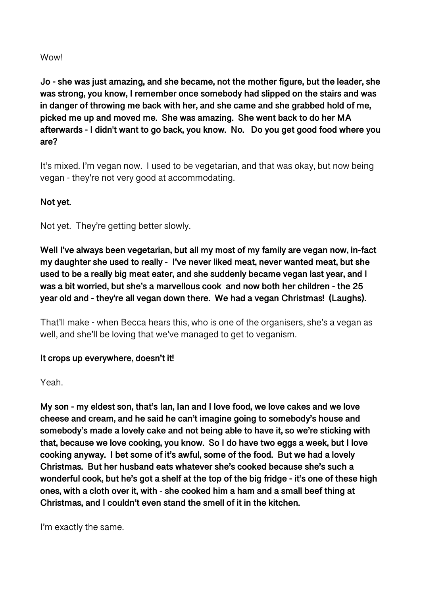#### **Wowl**

**Jo - she was just amazing, and she became, not the mother figure, but the leader, she was strong, you know, I remember once somebody had slipped on the stairs and was in danger of throwing me back with her, and she came and she grabbed hold of me, picked me up and moved me. She was amazing. She went back to do her MA afterwards - I didn't want to go back, you know. No. Do you get good food where you are?** 

It's mixed. I'm vegan now. I used to be vegetarian, and that was okay, but now being vegan - they're not very good at accommodating.

### **Not yet.**

Not yet. They're getting better slowly.

**Well I've always been vegetarian, but all my most of my family are vegan now, in-fact my daughter she used to really - I've never liked meat, never wanted meat, but she used to be a really big meat eater, and she suddenly became vegan last year, and I was a bit worried, but she's a marvellous cook and now both her children - the 25 year old and - they're all vegan down there. We had a vegan Christmas! (Laughs).** 

That'll make - when Becca hears this, who is one of the organisers, she's a vegan as well, and she'll be loving that we've managed to get to veganism.

#### **It crops up everywhere, doesn't it!**

Yeah.

**My son - my eldest son, that's Ian, Ian and I love food, we love cakes and we love cheese and cream, and he said he can't imagine going to somebody's house and somebody's made a lovely cake and not being able to have it, so we're sticking with that, because we love cooking, you know. So I do have two eggs a week, but I love cooking anyway. I bet some of it's awful, some of the food. But we had a lovely Christmas. But her husband eats whatever she's cooked because she's such a wonderful cook, but he's got a shelf at the top of the big fridge - it's one of these high ones, with a cloth over it, with - she cooked him a ham and a small beef thing at Christmas, and I couldn't even stand the smell of it in the kitchen.** 

I'm exactly the same.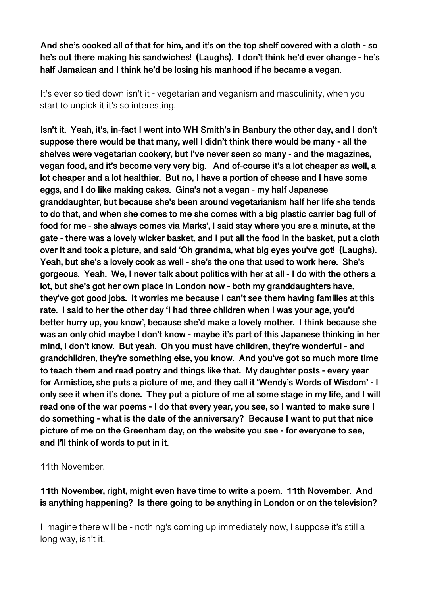**And she's cooked all of that for him, and it's on the top shelf covered with a cloth - so he's out there making his sandwiches! (Laughs). I don't think he'd ever change - he's half Jamaican and I think he'd be losing his manhood if he became a vegan.** 

It's ever so tied down isn't it - vegetarian and veganism and masculinity, when you start to unpick it it's so interesting.

**Isn't it. Yeah, it's, in-fact I went into WH Smith's in Banbury the other day, and I don't suppose there would be that many, well I didn't think there would be many - all the shelves were vegetarian cookery, but I've never seen so many - and the magazines, vegan food, and it's become very very big. And of-course it's a lot cheaper as well, a lot cheaper and a lot healthier. But no, I have a portion of cheese and I have some eggs, and I do like making cakes. Gina's not a vegan - my half Japanese granddaughter, but because she's been around vegetarianism half her life she tends to do that, and when she comes to me she comes with a big plastic carrier bag full of food for me - she always comes via Marks', I said stay where you are a minute, at the gate - there was a lovely wicker basket, and I put all the food in the basket, put a cloth over it and took a picture, and said 'Oh grandma, what big eyes you've got! (Laughs). Yeah, but she's a lovely cook as well - she's the one that used to work here. She's gorgeous. Yeah. We, I never talk about politics with her at all - I do with the others a lot, but she's got her own place in London now - both my granddaughters have, they've got good jobs. It worries me because I can't see them having families at this rate. I said to her the other day 'I had three children when I was your age, you'd better hurry up, you know', because she'd make a lovely mother. I think because she was an only chid maybe I don't know - maybe it's part of this Japanese thinking in her mind, I don't know. But yeah. Oh you must have children, they're wonderful - and grandchildren, they're something else, you know. And you've got so much more time to teach them and read poetry and things like that. My daughter posts - every year for Armistice, she puts a picture of me, and they call it 'Wendy's Words of Wisdom' - I only see it when it's done. They put a picture of me at some stage in my life, and I will read one of the war poems - I do that every year, you see, so I wanted to make sure I do something - what is the date of the anniversary? Because I want to put that nice picture of me on the Greenham day, on the website you see - for everyone to see, and I'll think of words to put in it.** 

11th November.

**11th November, right, might even have time to write a poem. 11th November. And is anything happening? Is there going to be anything in London or on the television?** 

I imagine there will be - nothing's coming up immediately now, I suppose it's still a long way, isn't it.